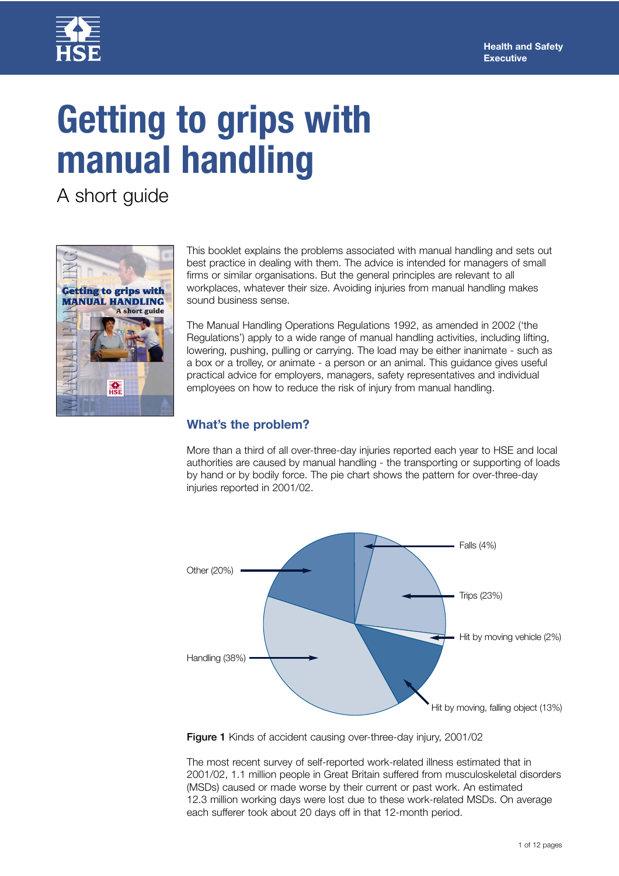

# **Getting to grips with manual handling**

A short guide



This booklet explains the problems associated with manual handling and sets out best practice in dealing with them. The advice is intended for managers of small firms or similar organisations. But the general principles are relevant to all workplaces, whatever their size. Avoiding injuries from manual handling makes sound business sense.

The Manual Handling Operations Regulations 1992, as amended in 2002 ('the Regulations') apply to a wide range of manual handling activities, including lifting, lowering, pushing, pulling or carrying. The load may be either inanimate - such as a box or a trolley, or animate - a person or an animal. This guidance gives useful practical advice for employers, managers, safety representatives and individual employees on how to reduce the risk of injury from manual handling.

## **What's the problem?**

More than a third of all over-three-day injuries reported each year to HSE and local authorities are caused by manual handling - the transporting or supporting of loads by hand or by bodily force. The pie chart shows the pattern for over-three-day injuries reported in 2001/02.



**Figure 1** Kinds of accident causing over-three-day injury, 2001/02

The most recent survey of self-reported work-related illness estimated that in 2001/02, 1.1 million people in Great Britain suffered from musculoskeletal disorders (MSDs) caused or made worse by their current or past work. An estimated 12.3 million working days were lost due to these work-related MSDs. On average each sufferer took about 20 days off in that 12-month period.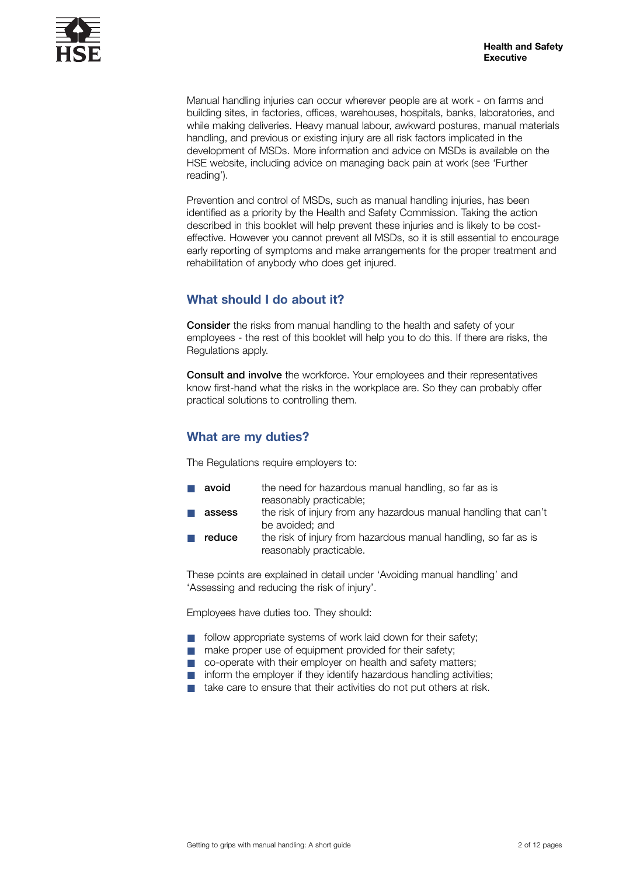Manual handling injuries can occur wherever people are at work - on farms and building sites, in factories, offices, warehouses, hospitals, banks, laboratories, and while making deliveries. Heavy manual labour, awkward postures, manual materials handling, and previous or existing injury are all risk factors implicated in the development of MSDs. More information and advice on MSDs is available on the HSE website, including advice on managing back pain at work (see 'Further reading').

Prevention and control of MSDs, such as manual handling injuries, has been identified as a priority by the Health and Safety Commission. Taking the action described in this booklet will help prevent these injuries and is likely to be costeffective. However you cannot prevent all MSDs, so it is still essential to encourage early reporting of symptoms and make arrangements for the proper treatment and rehabilitation of anybody who does get injured.

# **What should I do about it?**

**Consider** the risks from manual handling to the health and safety of your employees - the rest of this booklet will help you to do this. If there are risks, the Regulations apply.

**Consult and involve** the workforce. Your employees and their representatives know first-hand what the risks in the workplace are. So they can probably offer practical solutions to controlling them.

# **What are my duties?**

The Regulations require employers to:

- avoid **the need for hazardous manual handling, so far as is** reasonably practicable;
- assess the risk of injury from any hazardous manual handling that can't be avoided; and
- **reduce** the risk of injury from hazardous manual handling, so far as is reasonably practicable.

These points are explained in detail under 'Avoiding manual handling' and 'Assessing and reducing the risk of injury'.

Employees have duties too. They should:

- follow appropriate systems of work laid down for their safety;
- make proper use of equipment provided for their safety;
- co-operate with their employer on health and safety matters;
- inform the employer if they identify hazardous handling activities;
- take care to ensure that their activities do not put others at risk.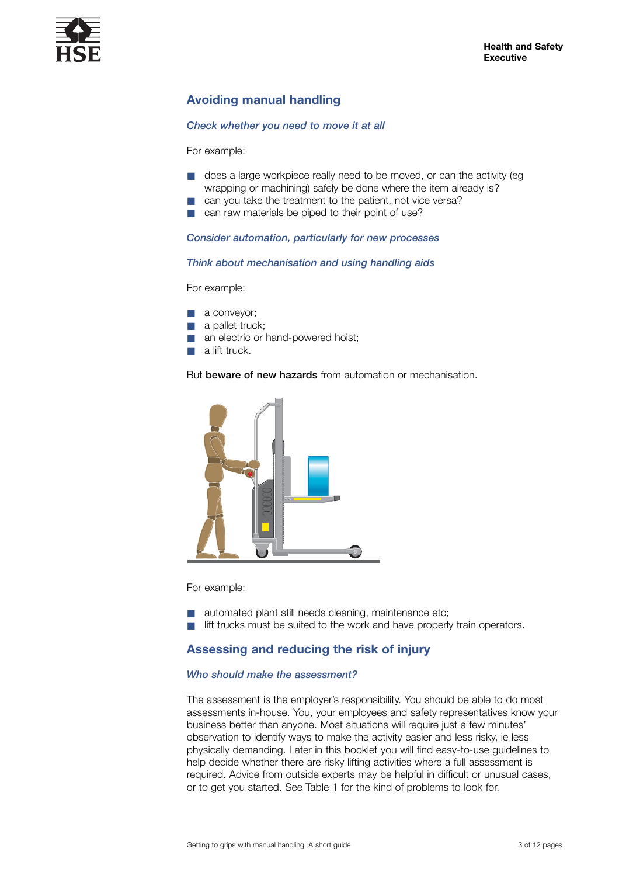

# **Avoiding manual handling**

## *Check whether you need to move it at all*

For example:

- does a large workpiece really need to be moved, or can the activity (eg wrapping or machining) safely be done where the item already is?
- can you take the treatment to the patient, not vice versa?
- can raw materials be piped to their point of use?

#### *Consider automation, particularly for new processes*

*Think about mechanisation and using handling aids* 

For example:

- a conveyor;
- a pallet truck;
- an electric or hand-powered hoist;
- a lift truck.

But **beware of new hazards** from automation or mechanisation.



For example:

- automated plant still needs cleaning, maintenance etc;
- lift trucks must be suited to the work and have properly train operators.

## **Assessing and reducing the risk of injury**

#### *Who should make the assessment?*

The assessment is the employer's responsibility. You should be able to do most assessments in-house. You, your employees and safety representatives know your business better than anyone. Most situations will require just a few minutes' observation to identify ways to make the activity easier and less risky, ie less physically demanding. Later in this booklet you will find easy-to-use guidelines to help decide whether there are risky lifting activities where a full assessment is required. Advice from outside experts may be helpful in difficult or unusual cases, or to get you started. See Table 1 for the kind of problems to look for.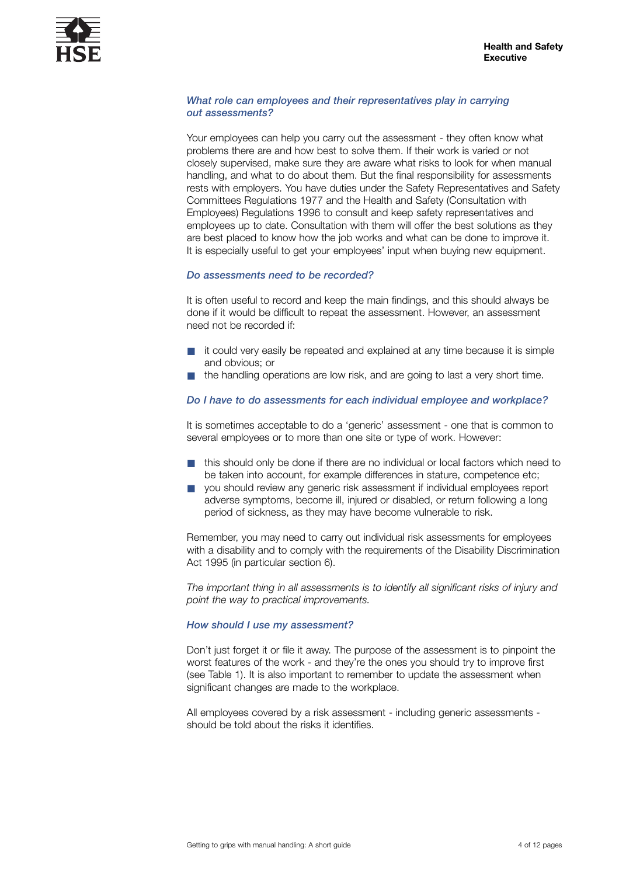## *What role can employees and their representatives play in carrying out assessments?*

Your employees can help you carry out the assessment - they often know what problems there are and how best to solve them. If their work is varied or not closely supervised, make sure they are aware what risks to look for when manual handling, and what to do about them. But the final responsibility for assessments rests with employers. You have duties under the Safety Representatives and Safety Committees Regulations 1977 and the Health and Safety (Consultation with Employees) Regulations 1996 to consult and keep safety representatives and employees up to date. Consultation with them will offer the best solutions as they are best placed to know how the job works and what can be done to improve it. It is especially useful to get your employees' input when buying new equipment.

## *Do assessments need to be recorded?*

It is often useful to record and keep the main findings, and this should always be done if it would be difficult to repeat the assessment. However, an assessment need not be recorded if:

- it could very easily be repeated and explained at any time because it is simple and obvious; or
- the handling operations are low risk, and are going to last a very short time.

## *Do I have to do assessments for each individual employee and workplace?*

It is sometimes acceptable to do a 'generic' assessment - one that is common to several employees or to more than one site or type of work. However:

- this should only be done if there are no individual or local factors which need to be taken into account, for example differences in stature, competence etc;
- you should review any generic risk assessment if individual employees report adverse symptoms, become ill, injured or disabled, or return following a long period of sickness, as they may have become vulnerable to risk.

Remember, you may need to carry out individual risk assessments for employees with a disability and to comply with the requirements of the Disability Discrimination Act 1995 (in particular section 6).

*The important thing in all assessments is to identify all significant risks of injury and point the way to practical improvements.* 

### *How should I use my assessment?*

Don't just forget it or file it away. The purpose of the assessment is to pinpoint the worst features of the work - and they're the ones you should try to improve first (see Table 1). It is also important to remember to update the assessment when significant changes are made to the workplace.

All employees covered by a risk assessment - including generic assessments should be told about the risks it identifies.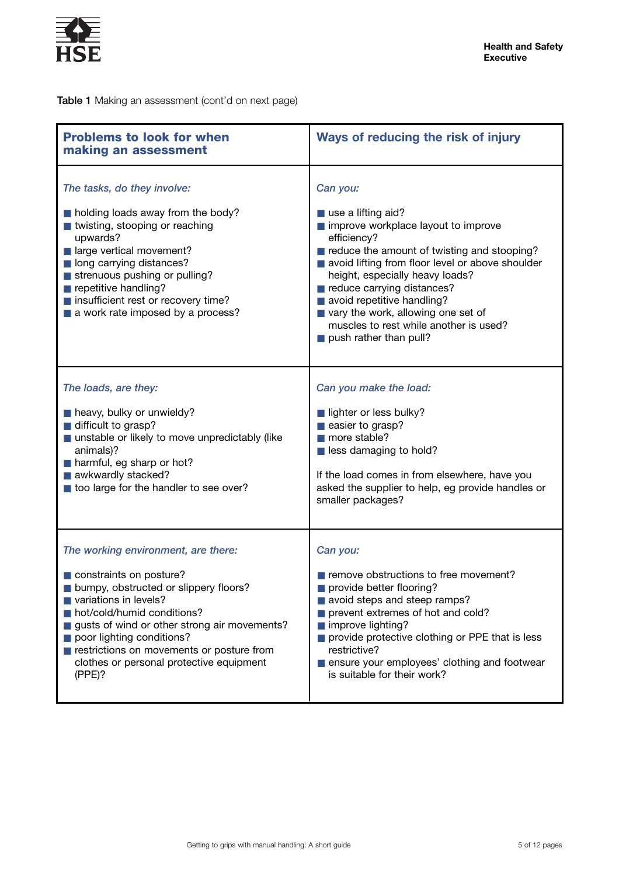

Table 1 Making an assessment (cont'd on next page)

| <b>Problems to look for when</b><br>making an assessment                                                                                                                                                                                                                                                       | Ways of reducing the risk of injury                                                                                                                                                                                                                                                                                                                                                                               |  |  |
|----------------------------------------------------------------------------------------------------------------------------------------------------------------------------------------------------------------------------------------------------------------------------------------------------------------|-------------------------------------------------------------------------------------------------------------------------------------------------------------------------------------------------------------------------------------------------------------------------------------------------------------------------------------------------------------------------------------------------------------------|--|--|
| The tasks, do they involve:<br>Inolding loads away from the body?<br>twisting, stooping or reaching<br>upwards?<br>large vertical movement?<br>long carrying distances?<br>strenuous pushing or pulling?<br>repetitive handling?<br>■ insufficient rest or recovery time?<br>a work rate imposed by a process? | Can you:<br>$\blacksquare$ use a lifting aid?<br>■ improve workplace layout to improve<br>efficiency?<br>reduce the amount of twisting and stooping?<br>avoid lifting from floor level or above shoulder<br>height, especially heavy loads?<br>reduce carrying distances?<br>avoid repetitive handling?<br>vary the work, allowing one set of<br>muscles to rest while another is used?<br>push rather than pull? |  |  |
| The loads, are they:                                                                                                                                                                                                                                                                                           | Can you make the load:                                                                                                                                                                                                                                                                                                                                                                                            |  |  |
| heavy, bulky or unwieldy?                                                                                                                                                                                                                                                                                      | lighter or less bulky?                                                                                                                                                                                                                                                                                                                                                                                            |  |  |
| difficult to grasp?                                                                                                                                                                                                                                                                                            | easier to grasp?                                                                                                                                                                                                                                                                                                                                                                                                  |  |  |
| unstable or likely to move unpredictably (like                                                                                                                                                                                                                                                                 | more stable?                                                                                                                                                                                                                                                                                                                                                                                                      |  |  |
| animals)?                                                                                                                                                                                                                                                                                                      | less damaging to hold?                                                                                                                                                                                                                                                                                                                                                                                            |  |  |
| harmful, eg sharp or hot?                                                                                                                                                                                                                                                                                      | If the load comes in from elsewhere, have you                                                                                                                                                                                                                                                                                                                                                                     |  |  |
| awkwardly stacked?                                                                                                                                                                                                                                                                                             | asked the supplier to help, eg provide handles or                                                                                                                                                                                                                                                                                                                                                                 |  |  |
| too large for the handler to see over?                                                                                                                                                                                                                                                                         | smaller packages?                                                                                                                                                                                                                                                                                                                                                                                                 |  |  |
| The working environment, are there:                                                                                                                                                                                                                                                                            | Can you:                                                                                                                                                                                                                                                                                                                                                                                                          |  |  |
| constraints on posture?                                                                                                                                                                                                                                                                                        | remove obstructions to free movement?                                                                                                                                                                                                                                                                                                                                                                             |  |  |
| bumpy, obstructed or slippery floors?                                                                                                                                                                                                                                                                          | provide better flooring?                                                                                                                                                                                                                                                                                                                                                                                          |  |  |
| variations in levels?                                                                                                                                                                                                                                                                                          | avoid steps and steep ramps?                                                                                                                                                                                                                                                                                                                                                                                      |  |  |
| hot/cold/humid conditions?                                                                                                                                                                                                                                                                                     | prevent extremes of hot and cold?                                                                                                                                                                                                                                                                                                                                                                                 |  |  |
| gusts of wind or other strong air movements?                                                                                                                                                                                                                                                                   | improve lighting?                                                                                                                                                                                                                                                                                                                                                                                                 |  |  |
| poor lighting conditions?                                                                                                                                                                                                                                                                                      | provide protective clothing or PPE that is less                                                                                                                                                                                                                                                                                                                                                                   |  |  |
| restrictions on movements or posture from                                                                                                                                                                                                                                                                      | restrictive?                                                                                                                                                                                                                                                                                                                                                                                                      |  |  |
| clothes or personal protective equipment                                                                                                                                                                                                                                                                       | ensure your employees' clothing and footwear                                                                                                                                                                                                                                                                                                                                                                      |  |  |
| (PPE)?                                                                                                                                                                                                                                                                                                         | is suitable for their work?                                                                                                                                                                                                                                                                                                                                                                                       |  |  |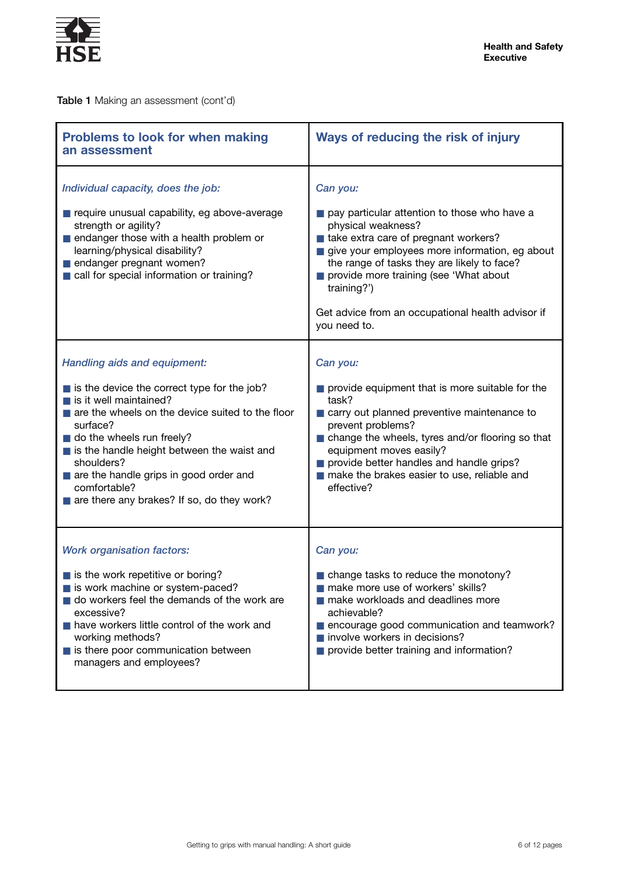

Table 1 Making an assessment (cont'd)

| <b>Problems to look for when making</b><br>an assessment                                                                                                                                                                                                                                                                                                                                             | Ways of reducing the risk of injury                                                                                                                                                                                                                                                                                                                   |  |  |
|------------------------------------------------------------------------------------------------------------------------------------------------------------------------------------------------------------------------------------------------------------------------------------------------------------------------------------------------------------------------------------------------------|-------------------------------------------------------------------------------------------------------------------------------------------------------------------------------------------------------------------------------------------------------------------------------------------------------------------------------------------------------|--|--|
| Individual capacity, does the job:<br>require unusual capability, eg above-average<br>strength or agility?<br>endanger those with a health problem or<br>learning/physical disability?<br>endanger pregnant women?<br>call for special information or training?                                                                                                                                      | Can you:<br>pay particular attention to those who have a<br>physical weakness?<br>take extra care of pregnant workers?<br>give your employees more information, eg about<br>the range of tasks they are likely to face?<br>provide more training (see 'What about<br>training?')<br>Get advice from an occupational health advisor if<br>you need to. |  |  |
| Handling aids and equipment:<br>is the device the correct type for the job?<br>$\blacksquare$ is it well maintained?<br>are the wheels on the device suited to the floor<br>surface?<br>$\blacksquare$ do the wheels run freely?<br>is the handle height between the waist and<br>shoulders?<br>are the handle grips in good order and<br>comfortable?<br>are there any brakes? If so, do they work? | Can you:<br>$\blacksquare$ provide equipment that is more suitable for the<br>task?<br>carry out planned preventive maintenance to<br>prevent problems?<br>change the wheels, tyres and/or flooring so that<br>equipment moves easily?<br>provide better handles and handle grips?<br>make the brakes easier to use, reliable and<br>effective?       |  |  |
| <b>Work organisation factors:</b><br>■ is the work repetitive or boring?<br>is work machine or system-paced?<br>do workers feel the demands of the work are<br>excessive?<br>have workers little control of the work and<br>working methods?<br>$\blacksquare$ is there poor communication between<br>managers and employees?                                                                        | Can you:<br>change tasks to reduce the monotony?<br>make more use of workers' skills?<br>■ make workloads and deadlines more<br>achievable?<br>■ encourage good communication and teamwork?<br>ninvolve workers in decisions?<br>provide better training and information?                                                                             |  |  |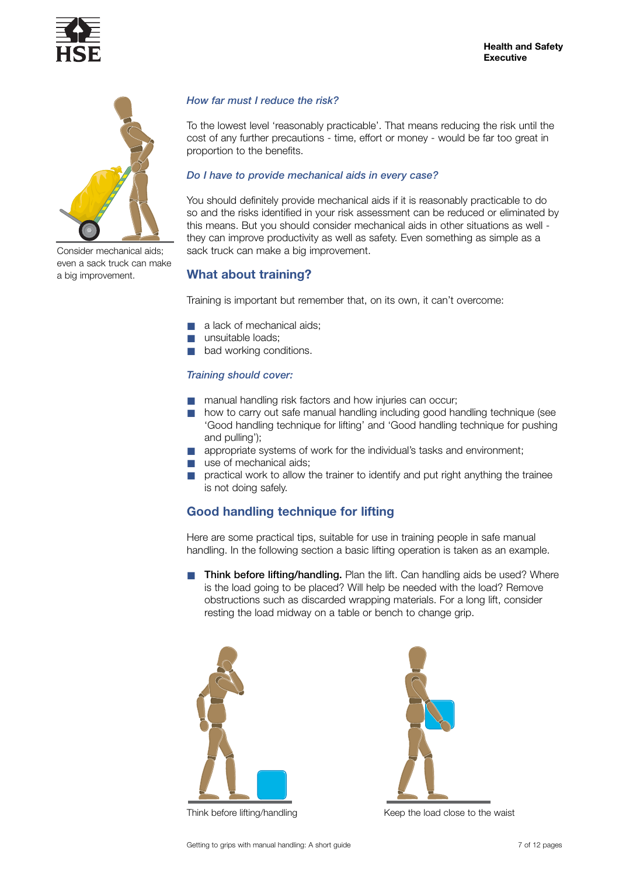





Consider mechanical aids; even a sack truck can make a big improvement.

## *How far must I reduce the risk?*

To the lowest level 'reasonably practicable'. That means reducing the risk until the cost of any further precautions - time, effort or money - would be far too great in proportion to the benefits.

## *Do I have to provide mechanical aids in every case?*

You should definitely provide mechanical aids if it is reasonably practicable to do so and the risks identified in your risk assessment can be reduced or eliminated by this means. But you should consider mechanical aids in other situations as well they can improve productivity as well as safety. Even something as simple as a sack truck can make a big improvement.

## **What about training?**

Training is important but remember that, on its own, it can't overcome:

- a lack of mechanical aids:
- unsuitable loads;
- bad working conditions.

## *Training should cover:*

- manual handling risk factors and how injuries can occur;
- how to carry out safe manual handling including good handling technique (see 'Good handling technique for lifting' and 'Good handling technique for pushing and pulling');
- appropriate systems of work for the individual's tasks and environment;
- use of mechanical aids;
- practical work to allow the trainer to identify and put right anything the trainee is not doing safely.

## **Good handling technique for lifting**

Here are some practical tips, suitable for use in training people in safe manual handling. In the following section a basic lifting operation is taken as an example.

**Think before lifting/handling.** Plan the lift. Can handling aids be used? Where is the load going to be placed? Will help be needed with the load? Remove obstructions such as discarded wrapping materials. For a long lift, consider resting the load midway on a table or bench to change grip.





Think before lifting/handling and the Keep the load close to the waist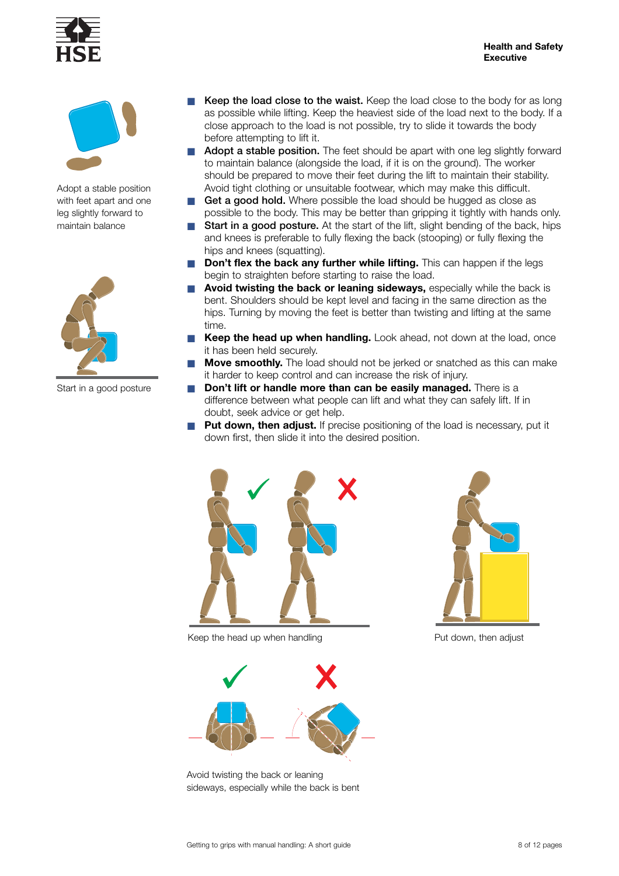#### **Health and Safety Executive**







- **Keep the load close to the waist.** Keep the load close to the body for as long as possible while lifting. Keep the heaviest side of the load next to the body. If a close approach to the load is not possible, try to slide it towards the body before attempting to lift it.
- **Adopt a stable position.** The feet should be apart with one leg slightly forward to maintain balance (alongside the load, if it is on the ground). The worker should be prepared to move their feet during the lift to maintain their stability. Adopt a stable position Avoid tight clothing or unsuitable footwear, which may make this difficult.
- with feet apart and one Get a good hold. Where possible the load should be hugged as close as leg slightly forward to possible to the body. This may be better than gripping it tightly with hands only.
- maintain balance **Start in a good posture.** At the start of the lift, slight bending of the back, hips and knees is preferable to fully flexing the back (stooping) or fully flexing the hips and knees (squatting).
	- **Don't flex the back any further while lifting.** This can happen if the legs begin to straighten before starting to raise the load.
	- **Avoid twisting the back or leaning sideways, especially while the back is** bent. Shoulders should be kept level and facing in the same direction as the hips. Turning by moving the feet is better than twisting and lifting at the same time.
	- Keep the head up when handling. Look ahead, not down at the load, once it has been held securely.
	- **Move smoothly.** The load should not be jerked or snatched as this can make it harder to keep control and can increase the risk of injury.
- Start in a good posture  **Don't lift or handle more than can be easily managed.** There is a difference between what people can lift and what they can safely lift. If in doubt, seek advice or get help.
	- **Put down, then adjust.** If precise positioning of the load is necessary, put it down first, then slide it into the desired position.



Keep the head up when handling example and the Put down, then adjust



Avoid twisting the back or leaning sideways, especially while the back is bent

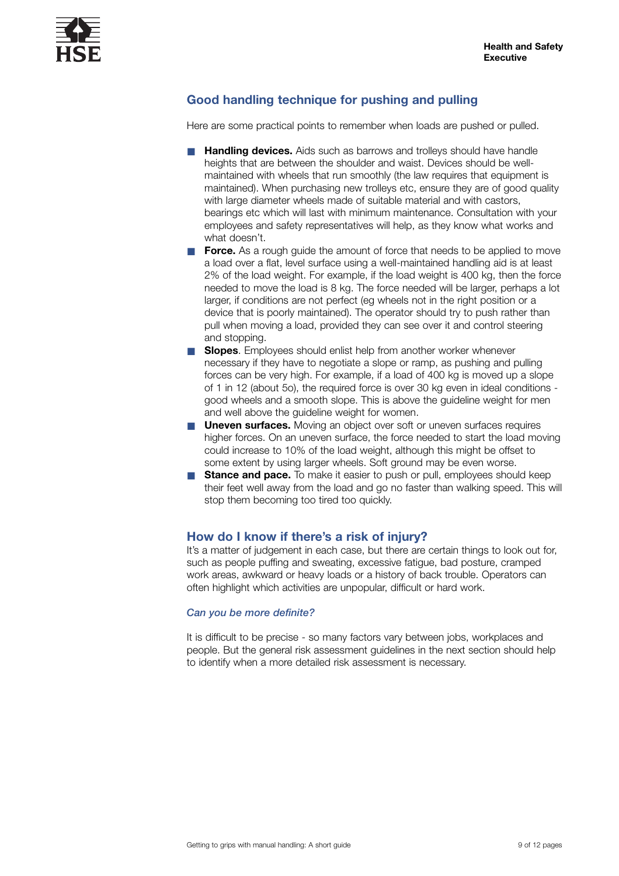# **Good handling technique for pushing and pulling**

Here are some practical points to remember when loads are pushed or pulled.

- **Handling devices.** Aids such as barrows and trolleys should have handle heights that are between the shoulder and waist. Devices should be wellmaintained with wheels that run smoothly (the law requires that equipment is maintained). When purchasing new trolleys etc, ensure they are of good quality with large diameter wheels made of suitable material and with castors, bearings etc which will last with minimum maintenance. Consultation with your employees and safety representatives will help, as they know what works and what doesn't.
- **Force.** As a rough guide the amount of force that needs to be applied to move a load over a flat, level surface using a well-maintained handling aid is at least 2% of the load weight. For example, if the load weight is 400 kg, then the force needed to move the load is 8 kg. The force needed will be larger, perhaps a lot larger, if conditions are not perfect (eg wheels not in the right position or a device that is poorly maintained). The operator should try to push rather than pull when moving a load, provided they can see over it and control steering and stopping.
- **Slopes**. Employees should enlist help from another worker whenever necessary if they have to negotiate a slope or ramp, as pushing and pulling forces can be very high. For example, if a load of 400 kg is moved up a slope of 1 in 12 (about 5o), the required force is over 30 kg even in ideal conditions good wheels and a smooth slope. This is above the guideline weight for men and well above the guideline weight for women.
- **Uneven surfaces.** Moving an object over soft or uneven surfaces requires higher forces. On an uneven surface, the force needed to start the load moving could increase to 10% of the load weight, although this might be offset to some extent by using larger wheels. Soft ground may be even worse.
- **Stance and pace.** To make it easier to push or pull, employees should keep their feet well away from the load and go no faster than walking speed. This will stop them becoming too tired too quickly.

## **How do I know if there's a risk of injury?**

It's a matter of judgement in each case, but there are certain things to look out for, such as people puffing and sweating, excessive fatigue, bad posture, cramped work areas, awkward or heavy loads or a history of back trouble. Operators can often highlight which activities are unpopular, difficult or hard work.

## *Can you be more definite?*

It is difficult to be precise - so many factors vary between jobs, workplaces and people. But the general risk assessment guidelines in the next section should help to identify when a more detailed risk assessment is necessary.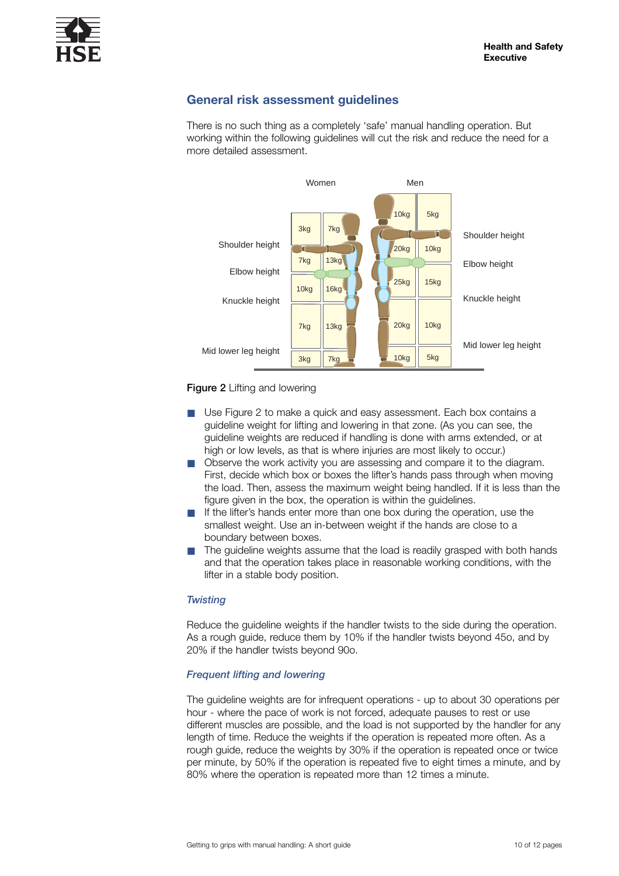

## **General risk assessment guidelines**

There is no such thing as a completely 'safe' manual handling operation. But working within the following guidelines will cut the risk and reduce the need for a more detailed assessment.



## **Figure 2** Lifting and lowering

- Use Figure 2 to make a quick and easy assessment. Each box contains a guideline weight for lifting and lowering in that zone. (As you can see, the guideline weights are reduced if handling is done with arms extended, or at high or low levels, as that is where injuries are most likely to occur.)
- Observe the work activity you are assessing and compare it to the diagram. First, decide which box or boxes the lifter's hands pass through when moving the load. Then, assess the maximum weight being handled. If it is less than the figure given in the box, the operation is within the guidelines.
- If the lifter's hands enter more than one box during the operation, use the smallest weight. Use an in-between weight if the hands are close to a boundary between boxes.
- The guideline weights assume that the load is readily grasped with both hands and that the operation takes place in reasonable working conditions, with the lifter in a stable body position.

### *Twisting*

Reduce the guideline weights if the handler twists to the side during the operation. As a rough guide, reduce them by 10% if the handler twists beyond 45o, and by 20% if the handler twists beyond 90o.

## *Frequent lifting and lowering*

The guideline weights are for infrequent operations - up to about 30 operations per hour - where the pace of work is not forced, adequate pauses to rest or use different muscles are possible, and the load is not supported by the handler for any length of time. Reduce the weights if the operation is repeated more often. As a rough guide, reduce the weights by 30% if the operation is repeated once or twice per minute, by 50% if the operation is repeated five to eight times a minute, and by 80% where the operation is repeated more than 12 times a minute.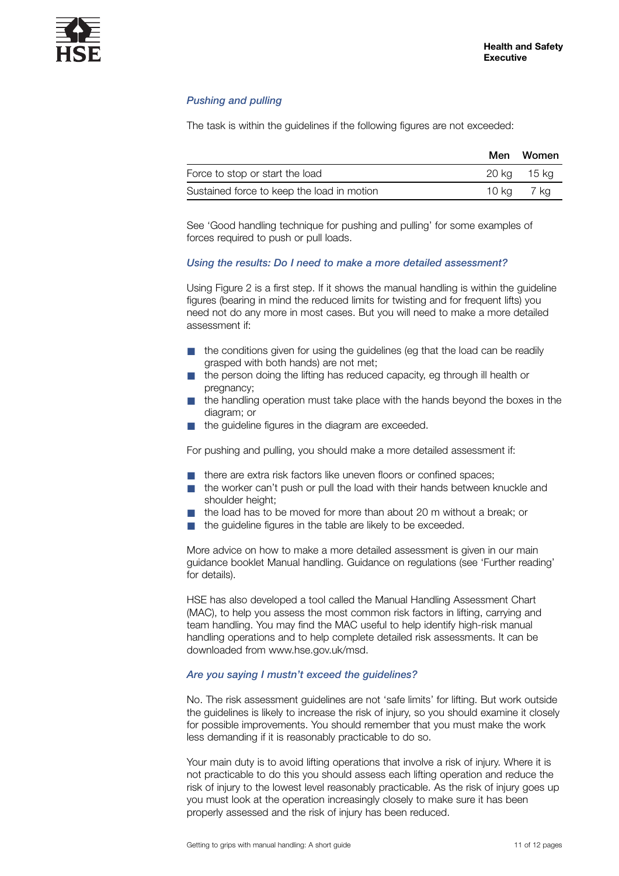

## *Pushing and pulling*

The task is within the guidelines if the following figures are not exceeded:

|                                            | Men | Women        |
|--------------------------------------------|-----|--------------|
| Force to stop or start the load            |     | 20 ka 15 ka  |
| Sustained force to keep the load in motion |     | 10 ka - 7 ka |

See 'Good handling technique for pushing and pulling' for some examples of forces required to push or pull loads.

### *Using the results: Do I need to make a more detailed assessment?*

Using Figure 2 is a first step. If it shows the manual handling is within the guideline figures (bearing in mind the reduced limits for twisting and for frequent lifts) you need not do any more in most cases. But you will need to make a more detailed assessment if:

- the conditions given for using the guidelines (eg that the load can be readily grasped with both hands) are not met;
- the person doing the lifting has reduced capacity, eg through ill health or pregnancy;
- the handling operation must take place with the hands beyond the boxes in the diagram; or
- the guideline figures in the diagram are exceeded.

For pushing and pulling, you should make a more detailed assessment if:

- there are extra risk factors like uneven floors or confined spaces;
- the worker can't push or pull the load with their hands between knuckle and shoulder height;
- the load has to be moved for more than about 20 m without a break; or
- the quideline figures in the table are likely to be exceeded.

More advice on how to make a more detailed assessment is given in our main guidance booklet Manual handling. Guidance on regulations (see 'Further reading' for details).

HSE has also developed a tool called the Manual Handling Assessment Chart (MAC), to help you assess the most common risk factors in lifting, carrying and team handling. You may find the MAC useful to help identify high-risk manual handling operations and to help complete detailed risk assessments. It can be downloaded from www.hse.gov.uk/msd.

#### *Are you saying I mustn't exceed the guidelines?*

No. The risk assessment guidelines are not 'safe limits' for lifting. But work outside the guidelines is likely to increase the risk of injury, so you should examine it closely for possible improvements. You should remember that you must make the work less demanding if it is reasonably practicable to do so.

Your main duty is to avoid lifting operations that involve a risk of injury. Where it is not practicable to do this you should assess each lifting operation and reduce the risk of injury to the lowest level reasonably practicable. As the risk of injury goes up you must look at the operation increasingly closely to make sure it has been properly assessed and the risk of injury has been reduced.